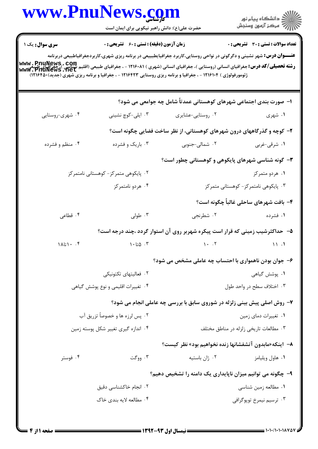|                                     | www.PnuNews.com<br>حضرت علی(ع): دانش راهبر نیکویی برای ایمان است |                                                                                                                                                                                                                                                                            | ر<br>دانشگاه پيام نور)<br>ا∛ مرکز آزمون وسنجش |
|-------------------------------------|------------------------------------------------------------------|----------------------------------------------------------------------------------------------------------------------------------------------------------------------------------------------------------------------------------------------------------------------------|-----------------------------------------------|
|                                     | <b>زمان آزمون (دقیقه) : تستی : 60 ٪ تشریحی : 0</b>               | <b>عنـــوان درس:</b> شهر نشینی و دگرگونی در نواحی روستایی،کاربرد جغرافیایطبییعی در برنامه ریزی شهری،کاربردجغرافیاطبیعی دربرنامه                                                                                                                                            | <b>تعداد سوالات : تستی : 30 ٪ تشریحی : 0</b>  |
|                                     |                                                                  | <b>رشته تحصیلی/کد درس: جغرافیای انسانی (روستایی )، جغرافیای انسانی (شهری ) ۱۲۱۶۰۸۱ - ، جغرافیای طبیعی (اقلیم EnuNews , COM)<br/>www . PnuNews . net</b><br>ژئومورفولوژی ) ۱۲۱۶۱۰۴ - ، جغرافیا و برنامه ریزی روستایی ۱۲۱۶۴۲۳ - ، جغرافیا و برنامه ریزی شهری (جدید)۲۱۶۴۵۰(۱۲ |                                               |
|                                     |                                                                  | ا– صورت بندی اجتماعی شهرهای کوهستانی عمدتاً شامل چه جوامعی می شود؟                                                                                                                                                                                                         |                                               |
| ۰۴ شهري-روستايي                     | ۰۳ ایلی-کوچ نشینی                                                | ۰۲ روستایی-عشایری                                                                                                                                                                                                                                                          | ۱. شهری                                       |
|                                     |                                                                  | ۲- کوچه و گذرگاههای درون شهرهای کوهستانی، از نظر ساخت فضایی چگونه است؟                                                                                                                                                                                                     |                                               |
| ۰۴ منظم و فشرده                     | ۰۳ باریک و فشرده                                                 | ۰۲ شمالی-جنوبی                                                                                                                                                                                                                                                             | ۰۱ شرقی-غربی                                  |
|                                     |                                                                  | ۳- گونه شناسی شهرهای پایکوهی و کوهستانی چطور است؟                                                                                                                                                                                                                          |                                               |
|                                     | ۰۲ پایکوهی متمرکز- کوهستانی نامتمرکز                             |                                                                                                                                                                                                                                                                            | ۰۱ هردو متمرکز                                |
|                                     | ۰۴ هردو نامتمرکز                                                 |                                                                                                                                                                                                                                                                            | ۰۳ پایکوهی نامتمرکز- کوهستانی متمرکز          |
|                                     |                                                                  |                                                                                                                                                                                                                                                                            | ۴– بافت شهرهای ساحلی غالباً چگونه است؟        |
| ۰۴ قطاعی                            | ۰۳ طولی                                                          | ۰۲ شطرنجي                                                                                                                                                                                                                                                                  | ۰۱ فشرده                                      |
|                                     |                                                                  | ۵– حداکثرشیب زمینی که قرار است پیکره شهربر روی آن استوار گردد ،چند درجه است؟                                                                                                                                                                                               |                                               |
| $1\lambda i$ *                      | $\cdot$ ۵ تا $\cdot$ ۲                                           | $1 - 17$                                                                                                                                                                                                                                                                   | 11.1                                          |
|                                     |                                                                  | ۶- جوان بودن ناهمواری با احتساب چه عاملی مشخص می شود؟                                                                                                                                                                                                                      |                                               |
| ٠٢ فعاليتهاى تكتونيكي               |                                                                  | ٠١. پوشش گياهي                                                                                                                                                                                                                                                             |                                               |
| ۰۴ تغییرات اقلیمی و نوع پوشش گیاهی  |                                                                  | ۰۳ اختلاف سطح در واحد طول                                                                                                                                                                                                                                                  |                                               |
|                                     |                                                                  | ۷- روش اصلی پیش بینی زلزله در شوروی سابق با بررسی چه عاملی انجام می شود؟                                                                                                                                                                                                   |                                               |
| ۰۲ پس لرزه ها و خصوصاً تزریق آب     |                                                                  | ٠١ تغييرات دماي زمين                                                                                                                                                                                                                                                       |                                               |
| ۰۴ اندازه گیری تغییر شکل پوسته زمین |                                                                  | ۰۳ مطالعات تاریخی زلزله در مناطق مختلف                                                                                                                                                                                                                                     |                                               |
|                                     |                                                                  | ٨−  اینکه«مابدون آتشفشانها زنده نخواهیم بود» نظر کیست؟                                                                                                                                                                                                                     |                                               |
| ۰۴ فوستر                            | ۰۳ ووگت                                                          | ۰۲ ژان باستیه                                                                                                                                                                                                                                                              | ۰۱ هاول ويليامز                               |
|                                     |                                                                  | ۹- چگونه می توانیم میزان ناپایداری یک دامنه را تشخیص دهیم؟                                                                                                                                                                                                                 |                                               |
| ۰۲ انجام خاکشناسی دقیق              |                                                                  |                                                                                                                                                                                                                                                                            | ۰۱ مطالعه زمین شناسی                          |
|                                     | ۰۴ مطالعه لايه بندي خاک                                          |                                                                                                                                                                                                                                                                            | ۰۳ ترسیم نیمرخ توپوگرافی                      |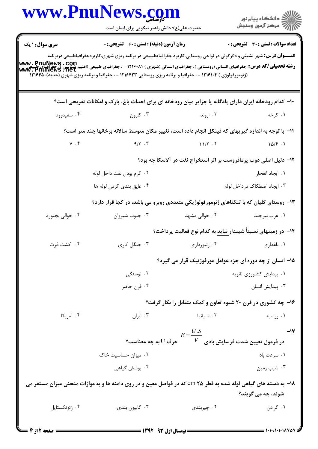|                        | www.PnuNews.com                                                                                                                                                                                                                                                                     |                                                                                           | الاد دانشگاه پيام نور<br>  /> مرکز آزمون وسنجش |  |
|------------------------|-------------------------------------------------------------------------------------------------------------------------------------------------------------------------------------------------------------------------------------------------------------------------------------|-------------------------------------------------------------------------------------------|------------------------------------------------|--|
|                        | حضرت علی(ع): دانش راهبر نیکویی برای ایمان است                                                                                                                                                                                                                                       |                                                                                           |                                                |  |
| <b>سری سوال :</b> ۱ یک | <b>زمان آزمون (دقیقه) : تستی : 60 ٪ تشریحی : 0</b>                                                                                                                                                                                                                                  |                                                                                           | <b>تعداد سوالات : تستی : 30 - تشریحی : 0</b>   |  |
|                        | <b>عنـــوان درس:</b> شهر نشینی و دگرگونی در نواحی روستایی،کاربرد جغرافیایطبییعی در برنامه ریزی شهری،کاربردجغرافیاطبیعی دربرنامه                                                                                                                                                     |                                                                                           |                                                |  |
|                        | رشته تحصیلی/کد درس: جغرافیای انسانی (روستایی )، جغرافیای انسانی (شهری ) ۱۲۱۶۰۸۱ - ، جغرافیای طبیعی (اقلیم شناسی<br>  www : PnuNews : net<br>  www : PnuNews : net<br>(ژئومورفولوژی ) ۱۲۱۶۱۰۴ - ، جغرافیا و برنامه ریزی روستایی ۱۲۱۶۴۲۳ - ، جغرافیا و برنامه ریزی شهری (جدید)۱۲۱۶۴۵۰ |                                                                                           |                                                |  |
|                        |                                                                                                                                                                                                                                                                                     |                                                                                           |                                                |  |
|                        | ۱۰- کدام رودخانه ایران دارای پادگانه یا جزایر میان رودخانه ای برای احداث باغ، پارک و امکانات تفریحی است؟                                                                                                                                                                            |                                                                                           |                                                |  |
| ۰۴ سفیدرود             | ۰۳ اروند و ۱۳ میلادی است. تارون است و سال ۱۳ میلادی به ارون است که از این معامل کردن است که از این معامل ک                                                                                                                                                                          |                                                                                           | ۱. کرخه                                        |  |
|                        | 11– با توجه به اندازه گیریهای که فینکل انجام داده است، تغییر مکان متوسط سالانه برخانها چند متر است؟                                                                                                                                                                                 |                                                                                           |                                                |  |
|                        | $Y . F$ a/r $Y . T$ a $Y . T$ a $Y . T$ and $Y . T$                                                                                                                                                                                                                                 |                                                                                           |                                                |  |
|                        |                                                                                                                                                                                                                                                                                     | ۱۲- دلیل اصلی ذوب پرمافروست بر اثر استخراج نفت در آلاسکا چه بود؟                          |                                                |  |
|                        | ۰۲ گرم بودن نفت داخل لوله                                                                                                                                                                                                                                                           |                                                                                           | ۰۱ ایجاد انفجار                                |  |
|                        | ۰۴ عايق بندي كردن لوله ها                                                                                                                                                                                                                                                           |                                                                                           | ۰۳ ایجاد اصطکاک درداخل لوله                    |  |
|                        | ۱۳- روستای گلیان که با تنگناهای ژئومورفولوژیکی متعددی روبرو می باشد، در کجا قرار دارد؟                                                                                                                                                                                              |                                                                                           |                                                |  |
| ۰۴ حوالي بجنورد        | ۰۳ جنوب شيروان                                                                                                                                                                                                                                                                      | ۰۲ حوالی مشهد                                                                             | ٠١ غرب بيرجند                                  |  |
|                        |                                                                                                                                                                                                                                                                                     | ۱۴– در زمینهای نسبتاً شیبدار <u>نباید</u> به کدام نوع فعالیت پرداخت؟                      |                                                |  |
| ۰۴ کشت ذرت             | ۰۳ جنگل کاری                                                                                                                                                                                                                                                                        | ۰۲ زنبورداری                                                                              | ٠١. باغداري                                    |  |
|                        |                                                                                                                                                                                                                                                                                     | 1۵- انسان از چه دوره ای جزء عوامل مورفوژنیک قرار می گیرد؟                                 |                                                |  |
|                        | ۰۲ نوسنگی                                                                                                                                                                                                                                                                           |                                                                                           | ۰۱ پیدایش کشاورزی ثانویه                       |  |
|                        | ۰۴ قرن حاضر                                                                                                                                                                                                                                                                         |                                                                                           | ۰۳ پیدایش انسان                                |  |
|                        |                                                                                                                                                                                                                                                                                     | ۱۶- چه کشوری در قرن ۲۰ شیوه تعاون و کمک متقابل را بکار گرفت؟                              |                                                |  |
| ۰۴ آمریکا              | ۰۳ ایران                                                                                                                                                                                                                                                                            | ۰۲ اسپانیا                                                                                | ۰۱ روسیه                                       |  |
|                        |                                                                                                                                                                                                                                                                                     |                                                                                           | $-1y$                                          |  |
|                        |                                                                                                                                                                                                                                                                                     | $E = \frac{U.S}{V}$ در فرمول تعیین شدت فرسایش بادی $E = \frac{V}{V}$ حرف $U$ به چه معناست |                                                |  |
|                        | ۰۲ میزان حساسیت خاک                                                                                                                                                                                                                                                                 |                                                                                           | ۰۱ سرعت باد                                    |  |
|                        | ۰۴ پوشش گیاهی                                                                                                                                                                                                                                                                       |                                                                                           | ۰۳ شیب زمین                                    |  |
|                        | <b>۱۸</b> - به دسته های گیاهی لوله شده به قطر ۲۵ cm که در فواصل معین و در روی دامنه ها و به موازات منحنی میزان مستقر می                                                                                                                                                             |                                                                                           | شوند، چه مي گويند؟                             |  |
|                        |                                                                                                                                                                                                                                                                                     |                                                                                           |                                                |  |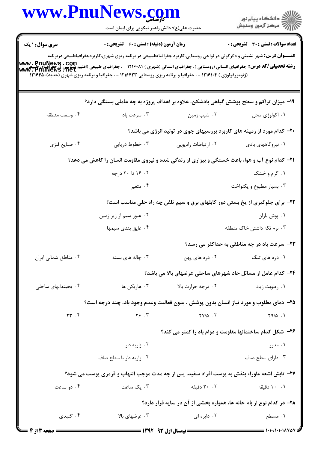|                                                                                                                                                                                                                                     | www.rnurews. <u>co</u> m<br>حضرت علی(ع): دانش راهبر نیکویی برای ایمان است                                                                                                                                                                         |                                                                                | ڪ دانشڪاه پيا <sub>م</sub> نور<br>ر∕ <sup>7</sup> مرڪز آزمون وسنڊش           |  |
|-------------------------------------------------------------------------------------------------------------------------------------------------------------------------------------------------------------------------------------|---------------------------------------------------------------------------------------------------------------------------------------------------------------------------------------------------------------------------------------------------|--------------------------------------------------------------------------------|------------------------------------------------------------------------------|--|
| <b>سری سوال :</b> ۱ یک                                                                                                                                                                                                              | <b>زمان آزمون (دقیقه) : تستی : 60 ٪ تشریحی : 0</b>                                                                                                                                                                                                |                                                                                | <b>تعداد سوالات : تستی : 30 ٪ تشریحی : 0</b>                                 |  |
| <b>www_PnuNewS . COM (قاليم COM) . حضرافيای انسانی (شهری ) ۱۲۱۶۰۸۱ - ، جغرافيای طبيعی (اقليم COM ) . في سبعالي /كد درس: جغرافيای انسانی (روستايی )، جغرافيای (سبانی (روستايی )، جغرافيای انسانی (روستايی )، جغرافيای انسانی (سب</b> | <b>عنـــوان درس:</b> شهر نشینی و دگرگونی در نواحی روستایی،کاربرد جغرافیایطبییعی در برنامه ریزی شهری،کاربردجغرافیاطبیعی دربرنامه<br>(ژئومورفولوژی ) ۱۲۱۶۱۰۴ - ، جغرافیا و برنامه ریزی روستایی ۱۲۱۶۴۲۳ - ، جغرافیا و برنامه ریزی شهری (جدید)۱۲۱۶۴۵۰ |                                                                                |                                                                              |  |
|                                                                                                                                                                                                                                     | ۱۹- میزان تراکم و سطح پوشش گیاهی بادشکن، علاوه بر اهداف پروژه به چه عاملی بستگی دارد؟                                                                                                                                                             |                                                                                |                                                                              |  |
| ۰۴ وسعت منطقه                                                                                                                                                                                                                       | ۰۳ سرعت باد                                                                                                                                                                                                                                       | ۰۲ شیب زمین                                                                    | ٠١ اکولوژي محل                                                               |  |
|                                                                                                                                                                                                                                     |                                                                                                                                                                                                                                                   | <b>۲۰</b> - کدام مورد از زمینه های کاربرد بررسیهای جوی در تولید انرژی می باشد؟ |                                                                              |  |
| ۰۴ صنايع فلزي                                                                                                                                                                                                                       | ۰۳ خطوط دریایی                                                                                                                                                                                                                                    | ٠٢ ارتباطات راديويي                                                            | ۰۱ نیروگاههای بادی                                                           |  |
|                                                                                                                                                                                                                                     | <b>۲۱</b> - کدام نوع آب و هوا، باعث خستگی و بیزاری از زندگی شده و نیروی مقاومت انسان را کاهش می دهد؟                                                                                                                                              |                                                                                |                                                                              |  |
|                                                                                                                                                                                                                                     | ۰۲ ۱۶ تا ۲۰ درجه                                                                                                                                                                                                                                  |                                                                                | ۰۱ گرم و خشک                                                                 |  |
|                                                                                                                                                                                                                                     | ۰۴ متغیر                                                                                                                                                                                                                                          |                                                                                | ۰۳ بسیار مطبوع و یکنواخت                                                     |  |
|                                                                                                                                                                                                                                     |                                                                                                                                                                                                                                                   |                                                                                | ۲۲- برای جلوگیری از یخ بستن دور کابلهای برق و سیم تلفن چه راه حلی مناسب است؟ |  |
|                                                                                                                                                                                                                                     | ۰۲ عبور سیم از زیر زمین                                                                                                                                                                                                                           |                                                                                | ۰۱ پوش باران                                                                 |  |
|                                                                                                                                                                                                                                     | ۰۴ عایق بندی سیمها                                                                                                                                                                                                                                |                                                                                | ۰۳ نرم نگه داشتن خاک منطقه                                                   |  |
|                                                                                                                                                                                                                                     |                                                                                                                                                                                                                                                   |                                                                                | ۲۳- سرعت باد در چه مناطقی به حداکثر می رسد؟                                  |  |
| ۰۴ مناطق شمالی ایران                                                                                                                                                                                                                | ۰۳ چاله های بسته                                                                                                                                                                                                                                  | ۰۲ دره های پهن                                                                 | ۰۱ دره های تنگ                                                               |  |
|                                                                                                                                                                                                                                     |                                                                                                                                                                                                                                                   |                                                                                | <b>۲۴</b> - کدام عامل از مسائل حاد شهرهای ساحلی عرضهای بالا می باشد؟         |  |
| ۰۴ یخبندانهای ساحلی                                                                                                                                                                                                                 | ۰۳ هاریکن ها                                                                                                                                                                                                                                      | ۰۲ درجه حرارت بالا                                                             | ۰۱ رطوبت زياد                                                                |  |
|                                                                                                                                                                                                                                     | ۲۵- دمای مطلوب و مورد نیاز انسان بدون پوشش ، بدون فعالیت وعدم وجود باد، چند درجه است؟                                                                                                                                                             |                                                                                |                                                                              |  |
| $\uparrow\uparrow$ . $\uparrow$                                                                                                                                                                                                     | $Y$ ۶. ۳                                                                                                                                                                                                                                          | $\gamma V/\Delta$ .                                                            | $Y9/\Delta$ .                                                                |  |
|                                                                                                                                                                                                                                     | <b>۲۶</b> - شکل کدام ساختمانها مقاومت و دوام باد را کمتر می کند؟                                                                                                                                                                                  |                                                                                |                                                                              |  |
|                                                                                                                                                                                                                                     | ۰۲ زاویه دار                                                                                                                                                                                                                                      |                                                                                | ۰۱ مدور                                                                      |  |
|                                                                                                                                                                                                                                     | ۰۴ زاویه دار با سطح صاف                                                                                                                                                                                                                           |                                                                                | ۰۳ دارای سطح صاف                                                             |  |
|                                                                                                                                                                                                                                     | ٢٧- تابش اشعه ماوراء بنفش به پوست افراد سفید، پس از چه مدت موجب التهاب و قرمزی پوست می شود؟                                                                                                                                                       |                                                                                |                                                                              |  |
| ۰۴ دو ساعت                                                                                                                                                                                                                          | ۰۳ یک ساعت                                                                                                                                                                                                                                        | ۲۰ . ۲۰ دقیقه                                                                  | ۰۱ ۱۰ دقیقه                                                                  |  |
|                                                                                                                                                                                                                                     |                                                                                                                                                                                                                                                   |                                                                                | ۲۸- در کدام نوع از بام خانه ها، همواره بخشی از آن در سایه قرار دارد؟         |  |
| ۰۴ گنبدی                                                                                                                                                                                                                            | ۰۳ عرضهای بالا                                                                                                                                                                                                                                    | ۰۲ دایره ای                                                                    | ۰۱ مسطح                                                                      |  |
| = صفحه 3 از 4                                                                                                                                                                                                                       |                                                                                                                                                                                                                                                   |                                                                                |                                                                              |  |